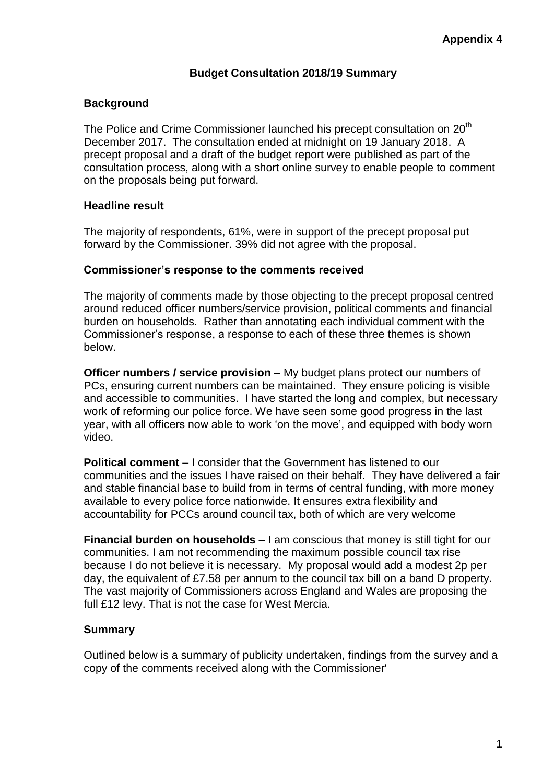## **Budget Consultation 2018/19 Summary**

## **Background**

The Police and Crime Commissioner launched his precept consultation on 20<sup>th</sup> December 2017. The consultation ended at midnight on 19 January 2018. A precept proposal and a draft of the budget report were published as part of the consultation process, along with a short online survey to enable people to comment on the proposals being put forward.

## **Headline result**

The majority of respondents, 61%, were in support of the precept proposal put forward by the Commissioner. 39% did not agree with the proposal.

## **Commissioner's response to the comments received**

The majority of comments made by those objecting to the precept proposal centred around reduced officer numbers/service provision, political comments and financial burden on households. Rather than annotating each individual comment with the Commissioner's response, a response to each of these three themes is shown below.

**Officer numbers / service provision –** My budget plans protect our numbers of PCs, ensuring current numbers can be maintained. They ensure policing is visible and accessible to communities. I have started the long and complex, but necessary work of reforming our police force. We have seen some good progress in the last year, with all officers now able to work 'on the move', and equipped with body worn video.

**Political comment** – I consider that the Government has listened to our communities and the issues I have raised on their behalf. They have delivered a fair and stable financial base to build from in terms of central funding, with more money available to every police force nationwide. It ensures extra flexibility and accountability for PCCs around council tax, both of which are very welcome

**Financial burden on households** – I am conscious that money is still tight for our communities. I am not recommending the maximum possible council tax rise because I do not believe it is necessary. My proposal would add a modest 2p per day, the equivalent of £7.58 per annum to the council tax bill on a band D property. The vast majority of Commissioners across England and Wales are proposing the full £12 levy. That is not the case for West Mercia.

## **Summary**

Outlined below is a summary of publicity undertaken, findings from the survey and a copy of the comments received along with the Commissioner'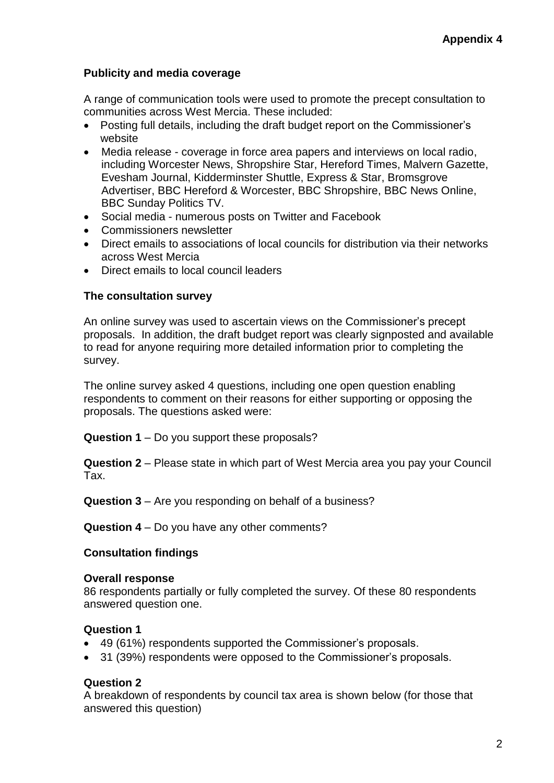# **Publicity and media coverage**

A range of communication tools were used to promote the precept consultation to communities across West Mercia. These included:

- Posting full details, including the draft budget report on the Commissioner's website
- Media release coverage in force area papers and interviews on local radio, including Worcester News, Shropshire Star, Hereford Times, Malvern Gazette, Evesham Journal, Kidderminster Shuttle, Express & Star, Bromsgrove Advertiser, BBC Hereford & Worcester, BBC Shropshire, BBC News Online, BBC Sunday Politics TV.
- Social media numerous posts on Twitter and Facebook
- Commissioners newsletter
- Direct emails to associations of local councils for distribution via their networks across West Mercia
- Direct emails to local council leaders

#### **The consultation survey**

An online survey was used to ascertain views on the Commissioner's precept proposals. In addition, the draft budget report was clearly signposted and available to read for anyone requiring more detailed information prior to completing the survey.

The online survey asked 4 questions, including one open question enabling respondents to comment on their reasons for either supporting or opposing the proposals. The questions asked were:

**Question 1** – Do you support these proposals?

**Question 2** – Please state in which part of West Mercia area you pay your Council Tax.

**Question 3** – Are you responding on behalf of a business?

**Question 4** – Do you have any other comments?

## **Consultation findings**

#### **Overall response**

86 respondents partially or fully completed the survey. Of these 80 respondents answered question one.

## **Question 1**

- 49 (61%) respondents supported the Commissioner's proposals.
- 31 (39%) respondents were opposed to the Commissioner's proposals.

## **Question 2**

A breakdown of respondents by council tax area is shown below (for those that answered this question)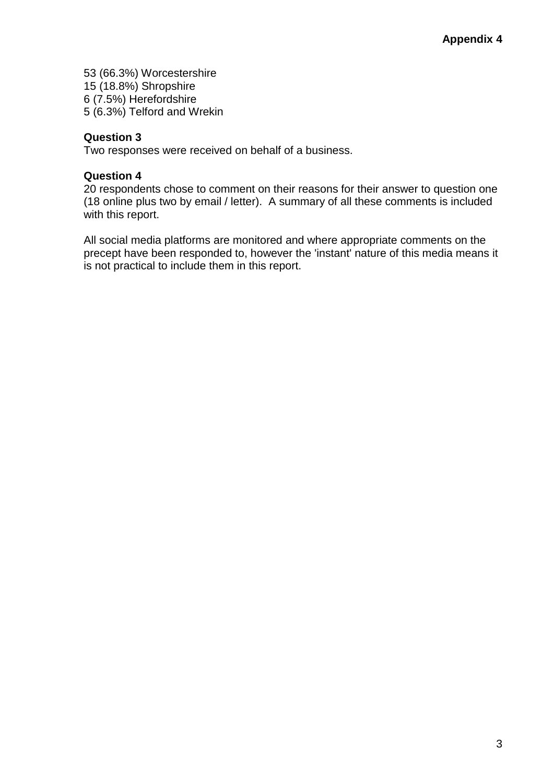(66.3%) Worcestershire (18.8%) Shropshire 6 (7.5%) Herefordshire (6.3%) Telford and Wrekin

## **Question 3**

Two responses were received on behalf of a business.

## **Question 4**

20 respondents chose to comment on their reasons for their answer to question one (18 online plus two by email / letter). A summary of all these comments is included with this report.

All social media platforms are monitored and where appropriate comments on the precept have been responded to, however the 'instant' nature of this media means it is not practical to include them in this report.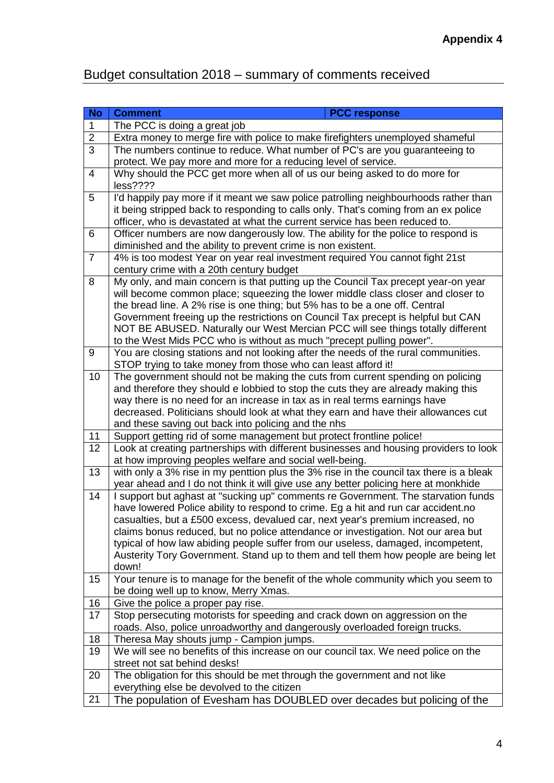# Budget consultation 2018 – summary of comments received

| <b>No</b>               | <b>PCC response</b><br><b>Comment</b>                                                                                                                   |
|-------------------------|---------------------------------------------------------------------------------------------------------------------------------------------------------|
| 1                       | The PCC is doing a great job                                                                                                                            |
| $\overline{2}$          | Extra money to merge fire with police to make firefighters unemployed shameful                                                                          |
| 3                       | The numbers continue to reduce. What number of PC's are you guaranteeing to                                                                             |
|                         | protect. We pay more and more for a reducing level of service.                                                                                          |
| $\overline{\mathbf{4}}$ | Why should the PCC get more when all of us our being asked to do more for                                                                               |
|                         | less????                                                                                                                                                |
| 5                       | I'd happily pay more if it meant we saw police patrolling neighbourhoods rather than                                                                    |
|                         | it being stripped back to responding to calls only. That's coming from an ex police                                                                     |
|                         | officer, who is devastated at what the current service has been reduced to.                                                                             |
| 6                       | Officer numbers are now dangerously low. The ability for the police to respond is                                                                       |
|                         | diminished and the ability to prevent crime is non existent.                                                                                            |
| $\overline{7}$          | 4% is too modest Year on year real investment required You cannot fight 21st                                                                            |
|                         | century crime with a 20th century budget                                                                                                                |
| 8                       | My only, and main concern is that putting up the Council Tax precept year-on year                                                                       |
|                         | will become common place; squeezing the lower middle class closer and closer to                                                                         |
|                         | the bread line. A 2% rise is one thing; but 5% has to be a one off. Central                                                                             |
|                         | Government freeing up the restrictions on Council Tax precept is helpful but CAN                                                                        |
|                         | NOT BE ABUSED. Naturally our West Mercian PCC will see things totally different<br>to the West Mids PCC who is without as much "precept pulling power". |
| 9                       | You are closing stations and not looking after the needs of the rural communities.                                                                      |
|                         | STOP trying to take money from those who can least afford it!                                                                                           |
| 10                      | The government should not be making the cuts from current spending on policing                                                                          |
|                         | and therefore they should e lobbied to stop the cuts they are already making this                                                                       |
|                         | way there is no need for an increase in tax as in real terms earnings have                                                                              |
|                         | decreased. Politicians should look at what they earn and have their allowances cut                                                                      |
|                         | and these saving out back into policing and the nhs                                                                                                     |
| 11                      | Support getting rid of some management but protect frontline police!                                                                                    |
| 12                      | Look at creating partnerships with different businesses and housing providers to look                                                                   |
|                         | at how improving peoples welfare and social well-being.                                                                                                 |
| 13                      | with only a 3% rise in my penttion plus the 3% rise in the council tax there is a bleak                                                                 |
|                         | year ahead and I do not think it will give use any better policing here at monkhide                                                                     |
| 14                      | I support but aghast at "sucking up" comments re Government. The starvation funds                                                                       |
|                         | have lowered Police ability to respond to crime. Eg a hit and run car accident.no                                                                       |
|                         | casualties, but a £500 excess, devalued car, next year's premium increased, no                                                                          |
|                         | claims bonus reduced, but no police attendance or investigation. Not our area but                                                                       |
|                         | typical of how law abiding people suffer from our useless, damaged, incompetent,                                                                        |
|                         | Austerity Tory Government. Stand up to them and tell them how people are being let                                                                      |
|                         | down!                                                                                                                                                   |
| 15                      | Your tenure is to manage for the benefit of the whole community which you seem to                                                                       |
| 16                      | be doing well up to know, Merry Xmas.<br>Give the police a proper pay rise.                                                                             |
| 17                      | Stop persecuting motorists for speeding and crack down on aggression on the                                                                             |
|                         | roads. Also, police unroadworthy and dangerously overloaded foreign trucks.                                                                             |
| 18                      | Theresa May shouts jump - Campion jumps.                                                                                                                |
| 19                      | We will see no benefits of this increase on our council tax. We need police on the                                                                      |
|                         | street not sat behind desks!                                                                                                                            |
| 20                      | The obligation for this should be met through the government and not like                                                                               |
|                         |                                                                                                                                                         |
|                         |                                                                                                                                                         |
| 21                      | everything else be devolved to the citizen<br>The population of Evesham has DOUBLED over decades but policing of the                                    |